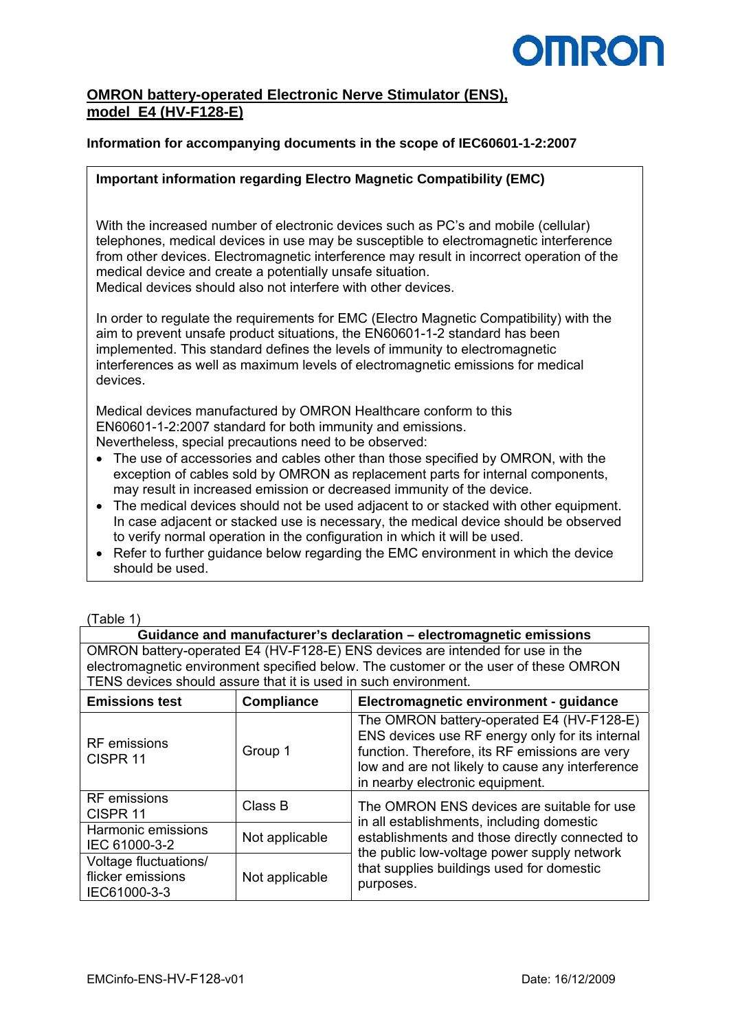

# **OMRON battery-operated Electronic Nerve Stimulator (ENS), model E4 (HV-F128-E)**

### **Information for accompanying documents in the scope of IEC60601-1-2:2007**

#### **Important information regarding Electro Magnetic Compatibility (EMC)**

With the increased number of electronic devices such as PC's and mobile (cellular) telephones, medical devices in use may be susceptible to electromagnetic interference from other devices. Electromagnetic interference may result in incorrect operation of the medical device and create a potentially unsafe situation. Medical devices should also not interfere with other devices.

In order to regulate the requirements for EMC (Electro Magnetic Compatibility) with the aim to prevent unsafe product situations, the EN60601-1-2 standard has been implemented. This standard defines the levels of immunity to electromagnetic interferences as well as maximum levels of electromagnetic emissions for medical devices.

Medical devices manufactured by OMRON Healthcare conform to this EN60601-1-2:2007 standard for both immunity and emissions. Nevertheless, special precautions need to be observed:

- The use of accessories and cables other than those specified by OMRON, with the exception of cables sold by OMRON as replacement parts for internal components, may result in increased emission or decreased immunity of the device.
- The medical devices should not be used adjacent to or stacked with other equipment. In case adjacent or stacked use is necessary, the medical device should be observed to verify normal operation in the configuration in which it will be used.
- Refer to further guidance below regarding the EMC environment in which the device should be used.

| (Table 1 |  |
|----------|--|
|          |  |

**Guidance and manufacturer's declaration – electromagnetic emissions**  OMRON battery-operated E4 (HV-F128-E) ENS devices are intended for use in the electromagnetic environment specified below. The customer or the user of these OMRON TENS devices should assure that it is used in such environment.

| <b>Emissions test</b>                                      | <b>Compliance</b> | Electromagnetic environment - guidance                                                                                                                                                                                                |  |
|------------------------------------------------------------|-------------------|---------------------------------------------------------------------------------------------------------------------------------------------------------------------------------------------------------------------------------------|--|
| <b>RF</b> emissions<br>CISPR <sub>11</sub>                 | Group 1           | The OMRON battery-operated E4 (HV-F128-E)<br>ENS devices use RF energy only for its internal<br>function. Therefore, its RF emissions are very<br>low and are not likely to cause any interference<br>in nearby electronic equipment. |  |
| <b>RF</b> emissions<br>CISPR <sub>11</sub>                 | Class B           | The OMRON ENS devices are suitable for use<br>in all establishments, including domestic                                                                                                                                               |  |
| Harmonic emissions<br>IEC 61000-3-2                        | Not applicable    | establishments and those directly connected to<br>the public low-voltage power supply network                                                                                                                                         |  |
| Voltage fluctuations/<br>flicker emissions<br>IEC61000-3-3 | Not applicable    | that supplies buildings used for domestic<br>purposes.                                                                                                                                                                                |  |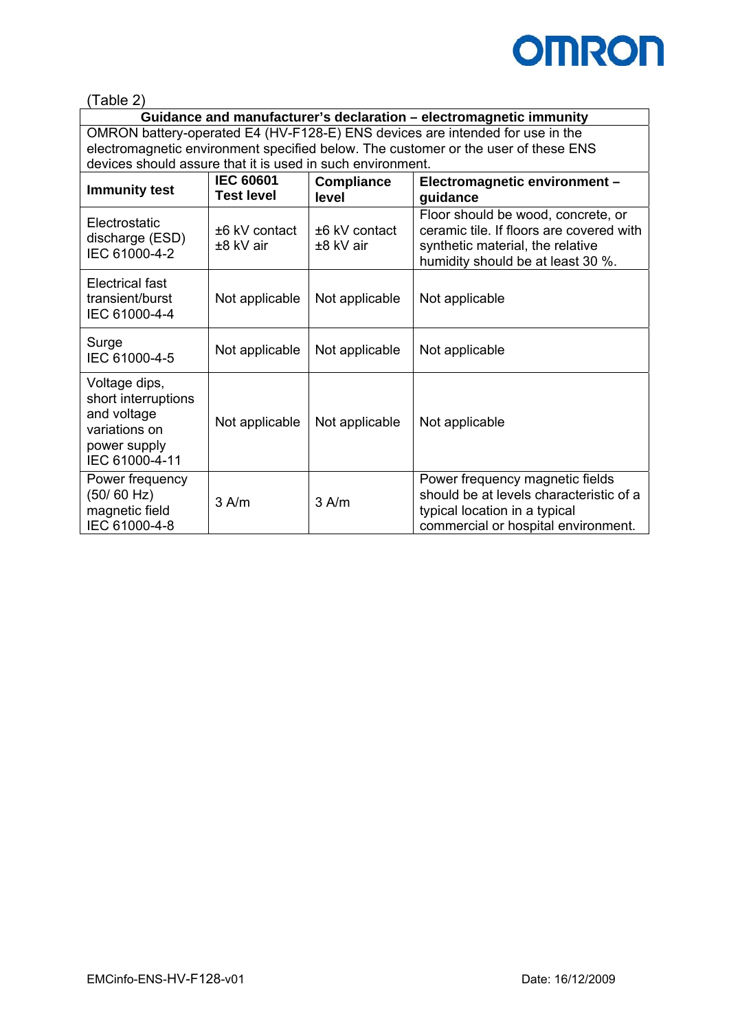

(Table 2)

**Guidance and manufacturer's declaration – electromagnetic immunity**  OMRON battery-operated E4 (HV-F128-E) ENS devices are intended for use in the electromagnetic environment specified below. The customer or the user of these ENS devices should assure that it is used in such environment.

| <b>Immunity test</b>                                                                                   | <b>IEC 60601</b><br><b>Test level</b> | <b>Compliance</b><br>level     | Electromagnetic environment -<br>guidance                                                                                                               |  |
|--------------------------------------------------------------------------------------------------------|---------------------------------------|--------------------------------|---------------------------------------------------------------------------------------------------------------------------------------------------------|--|
| Electrostatic<br>discharge (ESD)<br>IEC 61000-4-2                                                      | $±6$ kV contact<br>±8 kV air          | $±6$ kV contact<br>$±8$ kV air | Floor should be wood, concrete, or<br>ceramic tile. If floors are covered with<br>synthetic material, the relative<br>humidity should be at least 30 %. |  |
| Electrical fast<br>transient/burst<br>IEC 61000-4-4                                                    | Not applicable                        | Not applicable                 | Not applicable                                                                                                                                          |  |
| Surge<br>IEC 61000-4-5                                                                                 | Not applicable                        | Not applicable                 | Not applicable                                                                                                                                          |  |
| Voltage dips,<br>short interruptions<br>and voltage<br>variations on<br>power supply<br>IEC 61000-4-11 | Not applicable                        | Not applicable                 | Not applicable                                                                                                                                          |  |
| Power frequency<br>(50/60 Hz)<br>magnetic field<br>IEC 61000-4-8                                       | $3$ A/m                               | $3$ A/m                        | Power frequency magnetic fields<br>should be at levels characteristic of a<br>typical location in a typical<br>commercial or hospital environment.      |  |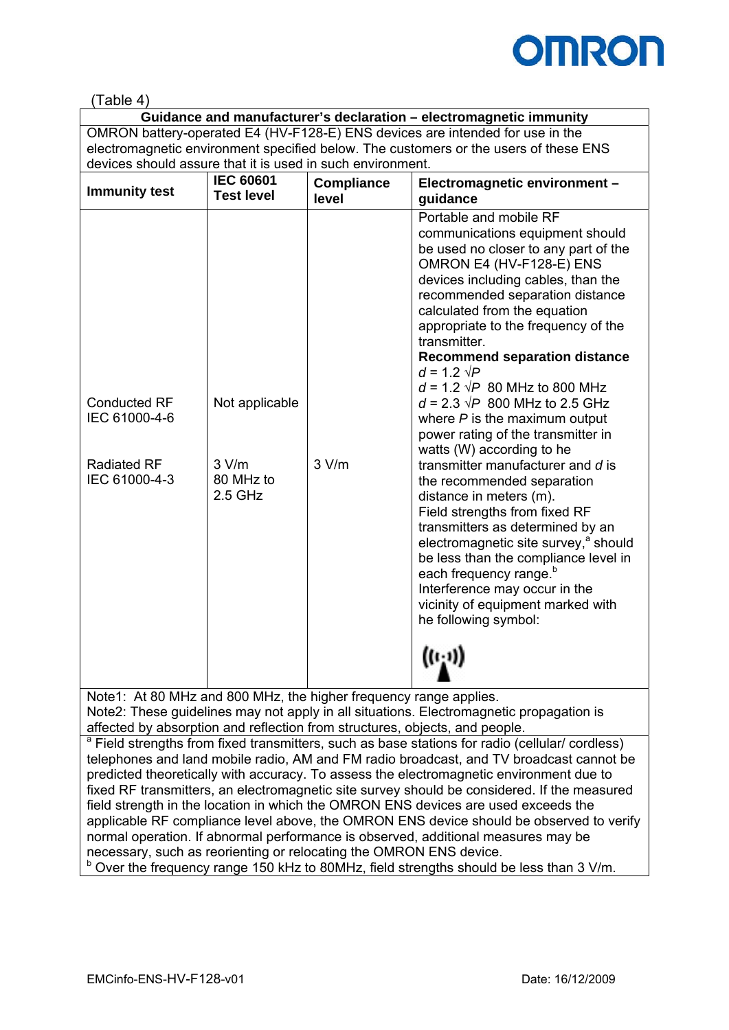

## (Table 4)

**Guidance and manufacturer's declaration – electromagnetic immunity**  OMRON battery-operated E4 (HV-F128-E) ENS devices are intended for use in the electromagnetic environment specified below. The customers or the users of these ENS devices should assure that it is used in such environment.

| <b>Immunity test</b>                 | <b>IEC 60601</b><br><b>Test level</b> | <b>Compliance</b><br>level | Electromagnetic environment -<br>guidance                                                                                                                                                                                                                                                                                                                                                                                                                                                                             |
|--------------------------------------|---------------------------------------|----------------------------|-----------------------------------------------------------------------------------------------------------------------------------------------------------------------------------------------------------------------------------------------------------------------------------------------------------------------------------------------------------------------------------------------------------------------------------------------------------------------------------------------------------------------|
| <b>Conducted RF</b><br>IEC 61000-4-6 | Not applicable                        |                            | Portable and mobile RF<br>communications equipment should<br>be used no closer to any part of the<br>OMRON E4 (HV-F128-E) ENS<br>devices including cables, than the<br>recommended separation distance<br>calculated from the equation<br>appropriate to the frequency of the<br>transmitter.<br><b>Recommend separation distance</b><br>$d = 1.2 \sqrt{P}$<br>$d = 1.2 \sqrt{P}$ 80 MHz to 800 MHz<br>$d = 2.3 \sqrt{P}$ 800 MHz to 2.5 GHz<br>where $P$ is the maximum output<br>power rating of the transmitter in |
| <b>Radiated RF</b><br>IEC 61000-4-3  | 3 V/m<br>80 MHz to<br>$2.5$ GHz       | 3 V/m                      | watts (W) according to he<br>transmitter manufacturer and d is<br>the recommended separation<br>distance in meters (m).<br>Field strengths from fixed RF<br>transmitters as determined by an<br>electromagnetic site survey, <sup>a</sup> should<br>be less than the compliance level in<br>each frequency range. <sup>b</sup><br>Interference may occur in the<br>vicinity of equipment marked with<br>he following symbol:<br>$((\cdot, \cdot))$                                                                    |

Note1: At 80 MHz and 800 MHz, the higher frequency range applies. Note2: These guidelines may not apply in all situations. Electromagnetic propagation is affected by absorption and reflection from structures, objects, and people.

<sup>a</sup> Field strengths from fixed transmitters, such as base stations for radio (cellular/ cordless) telephones and land mobile radio, AM and FM radio broadcast, and TV broadcast cannot be predicted theoretically with accuracy. To assess the electromagnetic environment due to fixed RF transmitters, an electromagnetic site survey should be considered. If the measured field strength in the location in which the OMRON ENS devices are used exceeds the applicable RF compliance level above, the OMRON ENS device should be observed to verify normal operation. If abnormal performance is observed, additional measures may be necessary, such as reorienting or relocating the OMRON ENS device.  $b$  Over the frequency range 150 kHz to 80MHz, field strengths should be less than 3 V/m.